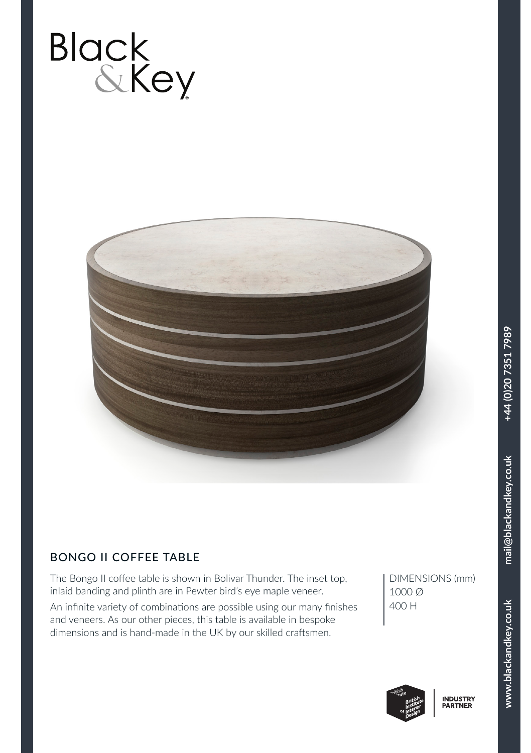www.blackandkey.co.uk



## BONGO II COFFEE TABLE

The Bongo II coffee table is shown in Bolivar Thunder. The inset top, inlaid banding and plinth are in Pewter bird's eye maple veneer.

An infinite variety of combinations are possible using our many finishes and veneers. As our other pieces, this table is available in bespoke dimensions and is hand-made in the UK by our skilled craftsmen.

DIMENSIONS (mm) 1000 Ø 400 H